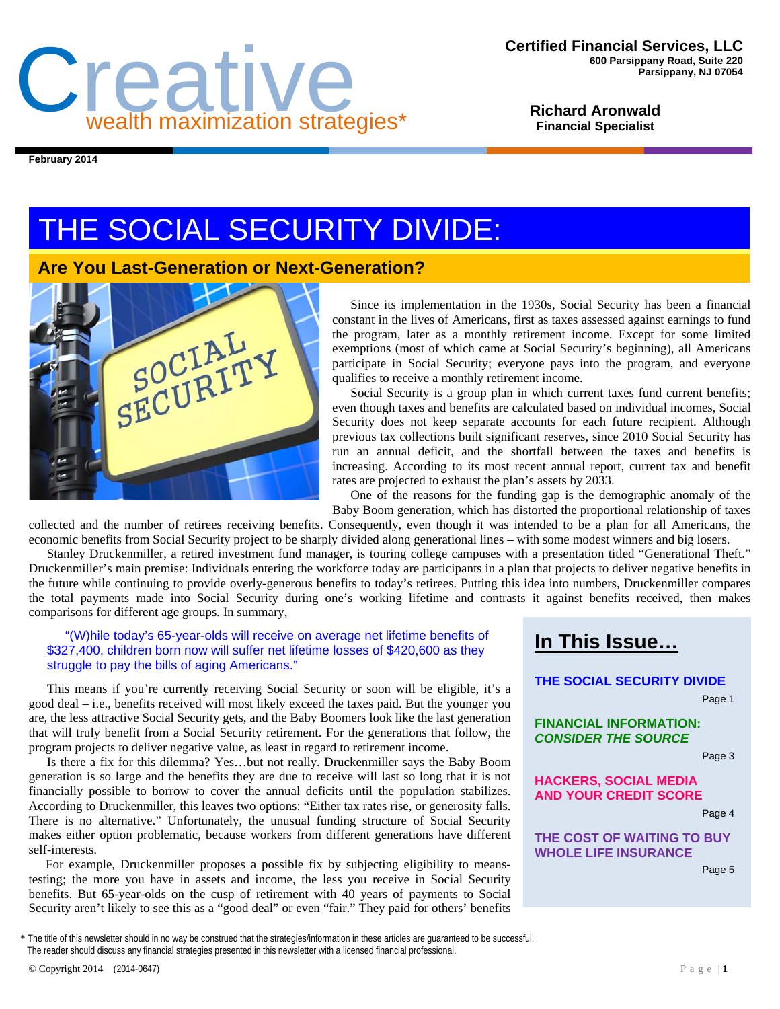

**Richard Aronwald Financial Specialist** 

**February 2014** 

# THE SOCIAL SECURITY DIVIDE:

## **Are You Last-Generation or Next-Generation?**



Since its implementation in the 1930s, Social Security has been a financial constant in the lives of Americans, first as taxes assessed against earnings to fund the program, later as a monthly retirement income. Except for some limited exemptions (most of which came at Social Security's beginning), all Americans participate in Social Security; everyone pays into the program, and everyone qualifies to receive a monthly retirement income.

Social Security is a group plan in which current taxes fund current benefits; even though taxes and benefits are calculated based on individual incomes, Social Security does not keep separate accounts for each future recipient. Although previous tax collections built significant reserves, since 2010 Social Security has run an annual deficit, and the shortfall between the taxes and benefits is increasing. According to its most recent annual report, current tax and benefit rates are projected to exhaust the plan's assets by 2033.

One of the reasons for the funding gap is the demographic anomaly of the Baby Boom generation, which has distorted the proportional relationship of taxes

collected and the number of retirees receiving benefits. Consequently, even though it was intended to be a plan for all Americans, the economic benefits from Social Security project to be sharply divided along generational lines – with some modest winners and big losers.

Stanley Druckenmiller, a retired investment fund manager, is touring college campuses with a presentation titled "Generational Theft." Druckenmiller's main premise: Individuals entering the workforce today are participants in a plan that projects to deliver negative benefits in the future while continuing to provide overly-generous benefits to today's retirees. Putting this idea into numbers, Druckenmiller compares the total payments made into Social Security during one's working lifetime and contrasts it against benefits received, then makes comparisons for different age groups. In summary,

#### "(W)hile today's 65-year-olds will receive on average net lifetime benefits of \$327,400, children born now will suffer net lifetime losses of \$420,600 as they struggle to pay the bills of aging Americans."

This means if you're currently receiving Social Security or soon will be eligible, it's a good deal – i.e., benefits received will most likely exceed the taxes paid. But the younger you are, the less attractive Social Security gets, and the Baby Boomers look like the last generation that will truly benefit from a Social Security retirement. For the generations that follow, the program projects to deliver negative value, as least in regard to retirement income.

Is there a fix for this dilemma? Yes…but not really. Druckenmiller says the Baby Boom generation is so large and the benefits they are due to receive will last so long that it is not financially possible to borrow to cover the annual deficits until the population stabilizes. According to Druckenmiller, this leaves two options: "Either tax rates rise, or generosity falls. There is no alternative." Unfortunately, the unusual funding structure of Social Security makes either option problematic, because workers from different generations have different self-interests.

For example, Druckenmiller proposes a possible fix by subjecting eligibility to meanstesting; the more you have in assets and income, the less you receive in Social Security benefits. But 65-year-olds on the cusp of retirement with 40 years of payments to Social Security aren't likely to see this as a "good deal" or even "fair." They paid for others' benefits

## **In This Issue…**

## **THE SOCIAL SECURITY DIVIDE**

Page 1

**FINANCIAL INFORMATION:**  *CONSIDER THE SOURCE* 

Page 3

**HACKERS, SOCIAL MEDIA AND YOUR CREDIT SCORE** 

Page 4

**THE COST OF WAITING TO BUY WHOLE LIFE INSURANCE** 

Page 5

\* The title of this newsletter should in no way be construed that the strategies/information in these articles are guaranteed to be successful. The reader should discuss any financial strategies presented in this newsletter with a licensed financial professional.

© Copyright 2014 (2014-0647) Page | **1**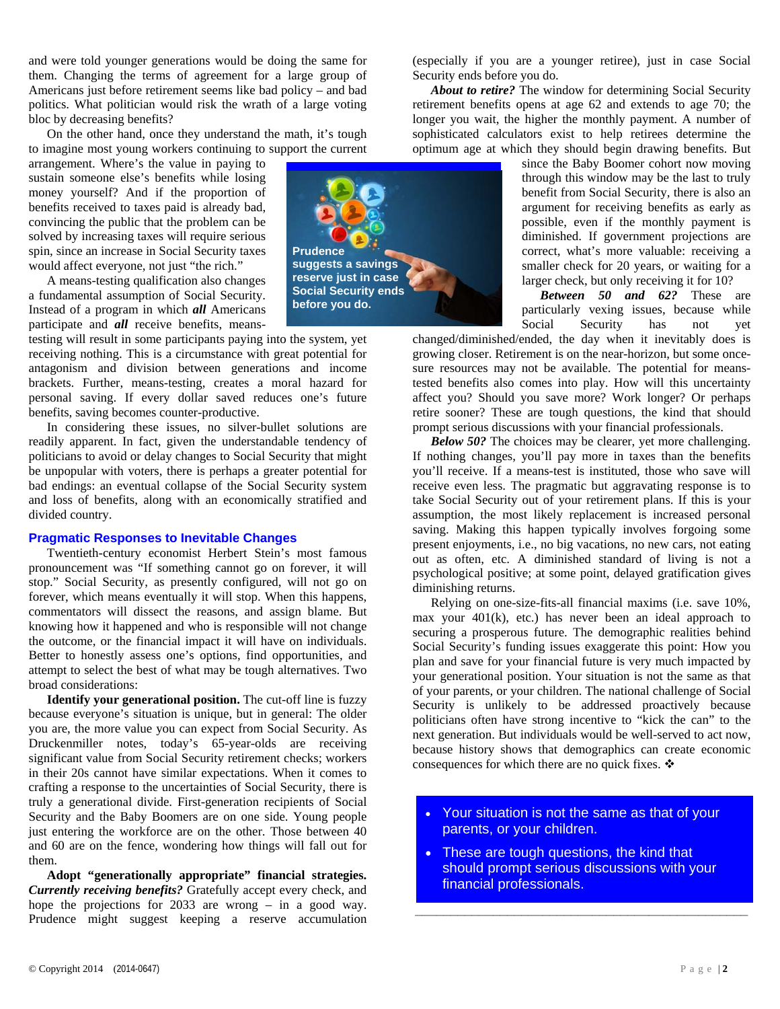and were told younger generations would be doing the same for them. Changing the terms of agreement for a large group of Americans just before retirement seems like bad policy – and bad politics. What politician would risk the wrath of a large voting bloc by decreasing benefits?

On the other hand, once they understand the math, it's tough to imagine most young workers continuing to support the current

arrangement. Where's the value in paying to sustain someone else's benefits while losing money yourself? And if the proportion of benefits received to taxes paid is already bad, convincing the public that the problem can be solved by increasing taxes will require serious spin, since an increase in Social Security taxes would affect everyone, not just "the rich."

A means-testing qualification also changes a fundamental assumption of Social Security. Instead of a program in which *all* Americans participate and *all* receive benefits, means-

testing will result in some participants paying into the system, yet receiving nothing. This is a circumstance with great potential for antagonism and division between generations and income brackets. Further, means-testing, creates a moral hazard for personal saving. If every dollar saved reduces one's future benefits, saving becomes counter-productive.

In considering these issues, no silver-bullet solutions are readily apparent. In fact, given the understandable tendency of politicians to avoid or delay changes to Social Security that might be unpopular with voters, there is perhaps a greater potential for bad endings: an eventual collapse of the Social Security system and loss of benefits, along with an economically stratified and divided country.

#### **Pragmatic Responses to Inevitable Changes**

Twentieth-century economist Herbert Stein's most famous pronouncement was "If something cannot go on forever, it will stop." Social Security, as presently configured, will not go on forever, which means eventually it will stop. When this happens, commentators will dissect the reasons, and assign blame. But knowing how it happened and who is responsible will not change the outcome, or the financial impact it will have on individuals. Better to honestly assess one's options, find opportunities, and attempt to select the best of what may be tough alternatives. Two broad considerations:

**Identify your generational position.** The cut-off line is fuzzy because everyone's situation is unique, but in general: The older you are, the more value you can expect from Social Security. As Druckenmiller notes, today's 65-year-olds are receiving significant value from Social Security retirement checks; workers in their 20s cannot have similar expectations. When it comes to crafting a response to the uncertainties of Social Security, there is truly a generational divide. First-generation recipients of Social Security and the Baby Boomers are on one side. Young people just entering the workforce are on the other. Those between 40 and 60 are on the fence, wondering how things will fall out for them.

**Adopt "generationally appropriate" financial strategies.** *Currently receiving benefits?* Gratefully accept every check, and hope the projections for 2033 are wrong – in a good way. Prudence might suggest keeping a reserve accumulation



(especially if you are a younger retiree), just in case Social Security ends before you do.

*About to retire?* The window for determining Social Security retirement benefits opens at age 62 and extends to age 70; the longer you wait, the higher the monthly payment. A number of sophisticated calculators exist to help retirees determine the optimum age at which they should begin drawing benefits. But

> since the Baby Boomer cohort now moving through this window may be the last to truly benefit from Social Security, there is also an argument for receiving benefits as early as possible, even if the monthly payment is diminished. If government projections are correct, what's more valuable: receiving a smaller check for 20 years, or waiting for a larger check, but only receiving it for 10?

> *Between 50 and 62?* These are particularly vexing issues, because while Social Security has not yet

changed/diminished/ended, the day when it inevitably does is growing closer. Retirement is on the near-horizon, but some oncesure resources may not be available. The potential for meanstested benefits also comes into play. How will this uncertainty affect you? Should you save more? Work longer? Or perhaps retire sooner? These are tough questions, the kind that should prompt serious discussions with your financial professionals.

*Below 50?* The choices may be clearer, yet more challenging. If nothing changes, you'll pay more in taxes than the benefits you'll receive. If a means-test is instituted, those who save will receive even less. The pragmatic but aggravating response is to take Social Security out of your retirement plans. If this is your assumption, the most likely replacement is increased personal saving. Making this happen typically involves forgoing some present enjoyments, i.e., no big vacations, no new cars, not eating out as often, etc. A diminished standard of living is not a psychological positive; at some point, delayed gratification gives diminishing returns.

Relying on one-size-fits-all financial maxims (i.e. save 10%, max your 401(k), etc.) has never been an ideal approach to securing a prosperous future. The demographic realities behind Social Security's funding issues exaggerate this point: How you plan and save for your financial future is very much impacted by your generational position. Your situation is not the same as that of your parents, or your children. The national challenge of Social Security is unlikely to be addressed proactively because politicians often have strong incentive to "kick the can" to the next generation. But individuals would be well-served to act now, because history shows that demographics can create economic consequences for which there are no quick fixes. ❖

- Your situation is not the same as that of your parents, or your children.
- These are tough questions, the kind that should prompt serious discussions with your financial professionals.

**\_\_\_\_\_\_\_\_\_\_\_\_\_\_\_\_\_\_\_\_\_\_\_\_\_\_\_\_\_\_\_\_\_\_\_\_\_\_\_\_\_\_\_\_\_\_\_**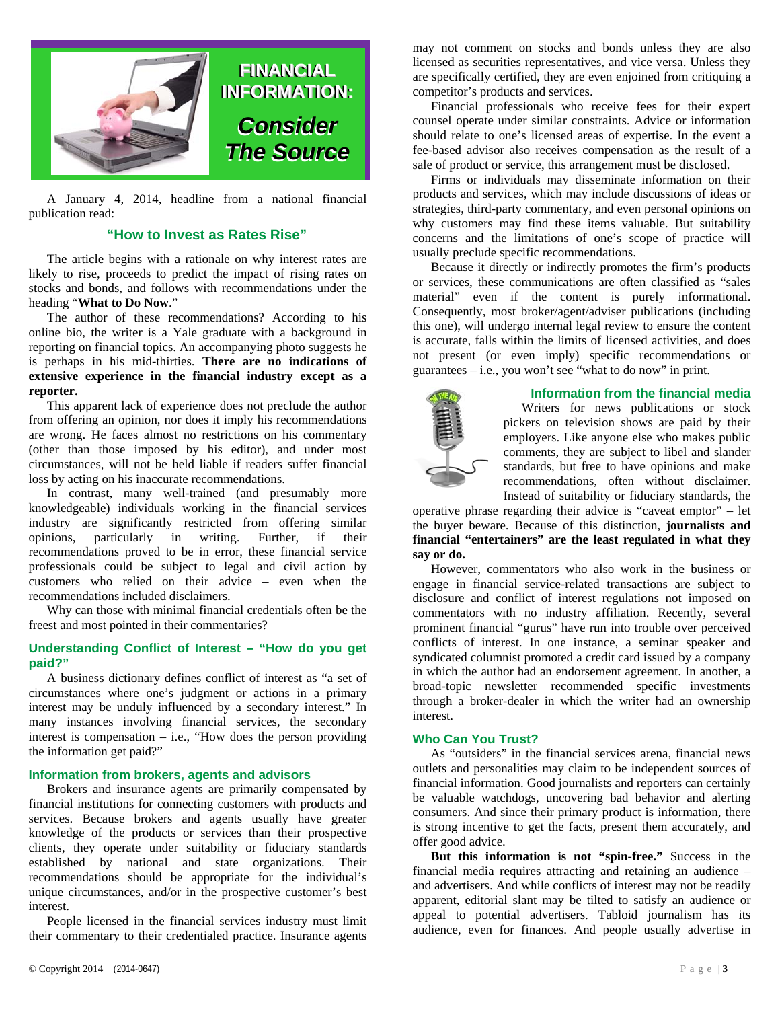

A January 4, 2014, headline from a national financial publication read:

### **"How to Invest as Rates Rise"**

The article begins with a rationale on why interest rates are likely to rise, proceeds to predict the impact of rising rates on stocks and bonds, and follows with recommendations under the heading "**What to Do Now**."

The author of these recommendations? According to his online bio, the writer is a Yale graduate with a background in reporting on financial topics. An accompanying photo suggests he is perhaps in his mid-thirties. **There are no indications of extensive experience in the financial industry except as a reporter.**

This apparent lack of experience does not preclude the author from offering an opinion, nor does it imply his recommendations are wrong. He faces almost no restrictions on his commentary (other than those imposed by his editor), and under most circumstances, will not be held liable if readers suffer financial loss by acting on his inaccurate recommendations.

In contrast, many well-trained (and presumably more knowledgeable) individuals working in the financial services industry are significantly restricted from offering similar opinions, particularly in writing. Further, if their recommendations proved to be in error, these financial service professionals could be subject to legal and civil action by customers who relied on their advice – even when the recommendations included disclaimers.

Why can those with minimal financial credentials often be the freest and most pointed in their commentaries?

#### **Understanding Conflict of Interest – "How do you get paid?"**

A business dictionary defines conflict of interest as "a set of circumstances where one's judgment or actions in a primary interest may be unduly influenced by a secondary interest." In many instances involving financial services, the secondary interest is compensation – i.e., "How does the person providing the information get paid?"

#### **Information from brokers, agents and advisors**

Brokers and insurance agents are primarily compensated by financial institutions for connecting customers with products and services. Because brokers and agents usually have greater knowledge of the products or services than their prospective clients, they operate under suitability or fiduciary standards established by national and state organizations. Their recommendations should be appropriate for the individual's unique circumstances, and/or in the prospective customer's best interest.

People licensed in the financial services industry must limit their commentary to their credentialed practice. Insurance agents

may not comment on stocks and bonds unless they are also licensed as securities representatives, and vice versa. Unless they are specifically certified, they are even enjoined from critiquing a competitor's products and services.

Financial professionals who receive fees for their expert counsel operate under similar constraints. Advice or information should relate to one's licensed areas of expertise. In the event a fee-based advisor also receives compensation as the result of a sale of product or service, this arrangement must be disclosed.

Firms or individuals may disseminate information on their products and services, which may include discussions of ideas or strategies, third-party commentary, and even personal opinions on why customers may find these items valuable. But suitability concerns and the limitations of one's scope of practice will usually preclude specific recommendations.

Because it directly or indirectly promotes the firm's products or services, these communications are often classified as "sales material" even if the content is purely informational. Consequently, most broker/agent/adviser publications (including this one), will undergo internal legal review to ensure the content is accurate, falls within the limits of licensed activities, and does not present (or even imply) specific recommendations or guarantees – i.e., you won't see "what to do now" in print.



#### **Information from the financial media**

Writers for news publications or stock pickers on television shows are paid by their employers. Like anyone else who makes public comments, they are subject to libel and slander standards, but free to have opinions and make recommendations, often without disclaimer. Instead of suitability or fiduciary standards, the

operative phrase regarding their advice is "caveat emptor" – let the buyer beware. Because of this distinction, **journalists and financial "entertainers" are the least regulated in what they say or do.** 

However, commentators who also work in the business or engage in financial service-related transactions are subject to disclosure and conflict of interest regulations not imposed on commentators with no industry affiliation. Recently, several prominent financial "gurus" have run into trouble over perceived conflicts of interest. In one instance, a seminar speaker and syndicated columnist promoted a credit card issued by a company in which the author had an endorsement agreement. In another, a broad-topic newsletter recommended specific investments through a broker-dealer in which the writer had an ownership interest.

#### **Who Can You Trust?**

As "outsiders" in the financial services arena, financial news outlets and personalities may claim to be independent sources of financial information. Good journalists and reporters can certainly be valuable watchdogs, uncovering bad behavior and alerting consumers. And since their primary product is information, there is strong incentive to get the facts, present them accurately, and offer good advice.

**But this information is not "spin-free."** Success in the financial media requires attracting and retaining an audience – and advertisers. And while conflicts of interest may not be readily apparent, editorial slant may be tilted to satisfy an audience or appeal to potential advertisers. Tabloid journalism has its audience, even for finances. And people usually advertise in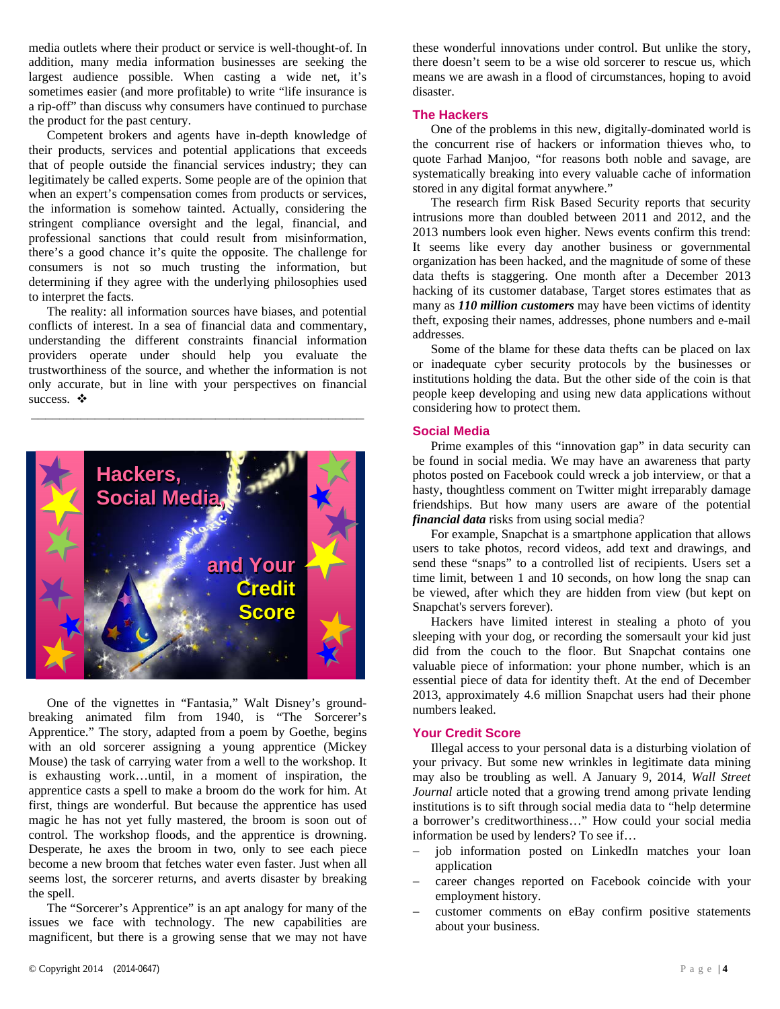media outlets where their product or service is well-thought-of. In addition, many media information businesses are seeking the largest audience possible. When casting a wide net, it's sometimes easier (and more profitable) to write "life insurance is a rip-off" than discuss why consumers have continued to purchase the product for the past century.

Competent brokers and agents have in-depth knowledge of their products, services and potential applications that exceeds that of people outside the financial services industry; they can legitimately be called experts. Some people are of the opinion that when an expert's compensation comes from products or services, the information is somehow tainted. Actually, considering the stringent compliance oversight and the legal, financial, and professional sanctions that could result from misinformation, there's a good chance it's quite the opposite. The challenge for consumers is not so much trusting the information, but determining if they agree with the underlying philosophies used to interpret the facts.

The reality: all information sources have biases, and potential conflicts of interest. In a sea of financial data and commentary, understanding the different constraints financial information providers operate under should help you evaluate the trustworthiness of the source, and whether the information is not only accurate, but in line with your perspectives on financial success.  $\bullet$ 

**\_\_\_\_\_\_\_\_\_\_\_\_\_\_\_\_\_\_\_\_\_\_\_\_\_\_\_\_\_\_\_\_\_\_\_\_\_\_\_\_\_\_\_\_\_\_\_** 



One of the vignettes in "Fantasia," Walt Disney's groundbreaking animated film from 1940, is "The Sorcerer's Apprentice." The story, adapted from a poem by Goethe, begins with an old sorcerer assigning a young apprentice (Mickey Mouse) the task of carrying water from a well to the workshop. It is exhausting work…until, in a moment of inspiration, the apprentice casts a spell to make a broom do the work for him. At first, things are wonderful. But because the apprentice has used magic he has not yet fully mastered, the broom is soon out of control. The workshop floods, and the apprentice is drowning. Desperate, he axes the broom in two, only to see each piece become a new broom that fetches water even faster. Just when all seems lost, the sorcerer returns, and averts disaster by breaking the spell.

The "Sorcerer's Apprentice" is an apt analogy for many of the issues we face with technology. The new capabilities are magnificent, but there is a growing sense that we may not have these wonderful innovations under control. But unlike the story, there doesn't seem to be a wise old sorcerer to rescue us, which means we are awash in a flood of circumstances, hoping to avoid disaster.

#### **The Hackers**

One of the problems in this new, digitally-dominated world is the concurrent rise of hackers or information thieves who, to quote Farhad Manjoo, "for reasons both noble and savage, are systematically breaking into every valuable cache of information stored in any digital format anywhere."

The research firm Risk Based Security reports that security intrusions more than doubled between 2011 and 2012, and the 2013 numbers look even higher. News events confirm this trend: It seems like every day another business or governmental organization has been hacked, and the magnitude of some of these data thefts is staggering. One month after a December 2013 hacking of its customer database, Target stores estimates that as many as *110 million customers* may have been victims of identity theft, exposing their names, addresses, phone numbers and e-mail addresses.

Some of the blame for these data thefts can be placed on lax or inadequate cyber security protocols by the businesses or institutions holding the data. But the other side of the coin is that people keep developing and using new data applications without considering how to protect them.

#### **Social Media**

Prime examples of this "innovation gap" in data security can be found in social media. We may have an awareness that party photos posted on Facebook could wreck a job interview, or that a hasty, thoughtless comment on Twitter might irreparably damage friendships. But how many users are aware of the potential *financial data* risks from using social media?

For example, Snapchat is a smartphone application that allows users to take photos, record videos, add text and drawings, and send these "snaps" to a controlled list of recipients. Users set a time limit, between 1 and 10 seconds, on how long the snap can be viewed, after which they are hidden from view (but kept on Snapchat's servers forever).

Hackers have limited interest in stealing a photo of you sleeping with your dog, or recording the somersault your kid just did from the couch to the floor. But Snapchat contains one valuable piece of information: your phone number, which is an essential piece of data for identity theft. At the end of December 2013, approximately 4.6 million Snapchat users had their phone numbers leaked.

#### **Your Credit Score**

Illegal access to your personal data is a disturbing violation of your privacy. But some new wrinkles in legitimate data mining may also be troubling as well. A January 9, 2014, *Wall Street Journal* article noted that a growing trend among private lending institutions is to sift through social media data to "help determine a borrower's creditworthiness…" How could your social media information be used by lenders? To see if…

- job information posted on LinkedIn matches your loan application
- career changes reported on Facebook coincide with your employment history.
- customer comments on eBay confirm positive statements about your business.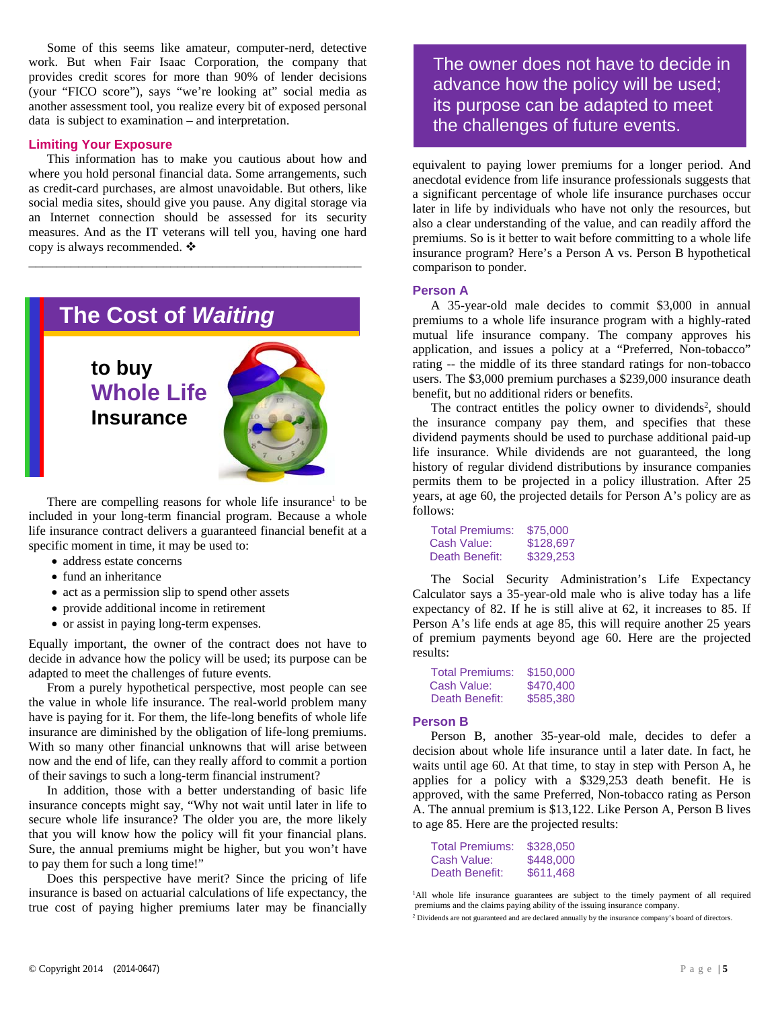Some of this seems like amateur, computer-nerd, detective work. But when Fair Isaac Corporation, the company that provides credit scores for more than 90% of lender decisions (your "FICO score"), says "we're looking at" social media as another assessment tool, you realize every bit of exposed personal data is subject to examination – and interpretation.

#### **Limiting Your Exposure**

This information has to make you cautious about how and where you hold personal financial data. Some arrangements, such as credit-card purchases, are almost unavoidable. But others, like social media sites, should give you pause. Any digital storage via an Internet connection should be assessed for its security measures. And as the IT veterans will tell you, having one hard copy is always recommended. ❖

**\_\_\_\_\_\_\_\_\_\_\_\_\_\_\_\_\_\_\_\_\_\_\_\_\_\_\_\_\_\_\_\_\_\_\_\_\_\_\_\_\_\_\_\_\_\_\_** 

# **The Cost of Waiting The Cost of** *Waiting*   **to buy**

 **Whole Life Insurance**



There are compelling reasons for whole life insurance<sup>1</sup> to be included in your long-term financial program. Because a whole life insurance contract delivers a guaranteed financial benefit at a specific moment in time, it may be used to:

- address estate concerns
- fund an inheritance
- act as a permission slip to spend other assets
- provide additional income in retirement
- or assist in paying long-term expenses.

Equally important, the owner of the contract does not have to decide in advance how the policy will be used; its purpose can be adapted to meet the challenges of future events.

From a purely hypothetical perspective, most people can see the value in whole life insurance. The real-world problem many have is paying for it. For them, the life-long benefits of whole life insurance are diminished by the obligation of life-long premiums. With so many other financial unknowns that will arise between now and the end of life, can they really afford to commit a portion of their savings to such a long-term financial instrument?

In addition, those with a better understanding of basic life insurance concepts might say, "Why not wait until later in life to secure whole life insurance? The older you are, the more likely that you will know how the policy will fit your financial plans. Sure, the annual premiums might be higher, but you won't have to pay them for such a long time!"

Does this perspective have merit? Since the pricing of life insurance is based on actuarial calculations of life expectancy, the true cost of paying higher premiums later may be financially The owner does not have to decide in advance how the policy will be used; its purpose can be adapted to meet the challenges of future events.

equivalent to paying lower premiums for a longer period. And anecdotal evidence from life insurance professionals suggests that a significant percentage of whole life insurance purchases occur later in life by individuals who have not only the resources, but also a clear understanding of the value, and can readily afford the premiums. So is it better to wait before committing to a whole life insurance program? Here's a Person A vs. Person B hypothetical comparison to ponder.

#### **Person A**

A 35-year-old male decides to commit \$3,000 in annual premiums to a whole life insurance program with a highly-rated mutual life insurance company. The company approves his application, and issues a policy at a "Preferred, Non-tobacco" rating -- the middle of its three standard ratings for non-tobacco users. The \$3,000 premium purchases a \$239,000 insurance death benefit, but no additional riders or benefits.

The contract entitles the policy owner to dividends<sup>2</sup>, should the insurance company pay them, and specifies that these dividend payments should be used to purchase additional paid-up life insurance. While dividends are not guaranteed, the long history of regular dividend distributions by insurance companies permits them to be projected in a policy illustration. After 25 years, at age 60, the projected details for Person A's policy are as follows:

| <b>Total Premiums:</b> | \$75,000  |  |  |
|------------------------|-----------|--|--|
| Cash Value:            | \$128,697 |  |  |
| Death Benefit:         | \$329,253 |  |  |

The Social Security Administration's Life Expectancy Calculator says a 35-year-old male who is alive today has a life expectancy of 82. If he is still alive at 62, it increases to 85. If Person A's life ends at age 85, this will require another 25 years of premium payments beyond age 60. Here are the projected results:

| <b>Total Premiums:</b> | \$150,000 |  |  |
|------------------------|-----------|--|--|
| Cash Value:            | \$470,400 |  |  |
| Death Benefit:         | \$585,380 |  |  |

#### **Person B**

Person B, another 35-year-old male, decides to defer a decision about whole life insurance until a later date. In fact, he waits until age 60. At that time, to stay in step with Person A, he applies for a policy with a \$329,253 death benefit. He is approved, with the same Preferred, Non-tobacco rating as Person A. The annual premium is \$13,122. Like Person A, Person B lives to age 85. Here are the projected results:

| <b>Total Premiums:</b> | \$328,050 |
|------------------------|-----------|
| Cash Value:            | \$448,000 |
| Death Benefit:         | \$611.468 |

<sup>&</sup>lt;sup>1</sup>All whole life insurance guarantees are subject to the timely payment of all required premiums and the claims paying ability of the issuing insurance company. <sup>2</sup> Dividends are not guaranteed and are declared annually by the insurance company's board of directors.

<sup>©</sup> Copyright 2014 (2014-0647) Page | **5**